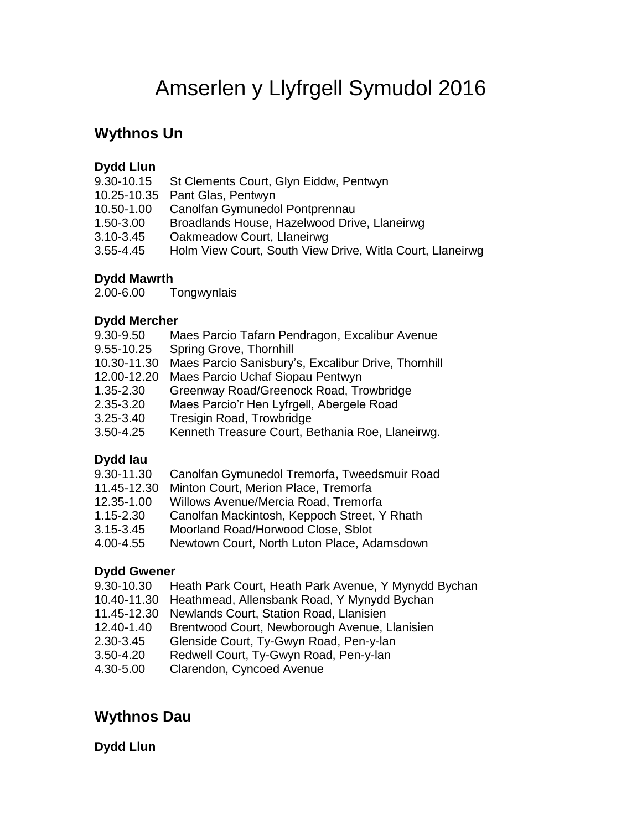# Amserlen y Llyfrgell Symudol 2016

# **Wythnos Un**

### **Dydd Llun**

|               | 9.30-10.15 St Clements Court, Glyn Eiddw, Pentwyn         |
|---------------|-----------------------------------------------------------|
|               | 10.25-10.35 Pant Glas, Pentwyn                            |
| 10.50-1.00    | Canolfan Gymunedol Pontprennau                            |
| 1.50-3.00     | Broadlands House, Hazelwood Drive, Llaneirwg              |
| $3.10 - 3.45$ | Oakmeadow Court, Llaneirwg                                |
| $3.55 - 4.45$ | Holm View Court, South View Drive, Witla Court, Llaneirwg |
|               |                                                           |

### **Dydd Mawrth**

2.00-6.00 Tongwynlais

#### **Dydd Mercher**

| 9.30-9.50     | Maes Parcio Tafarn Pendragon, Excalibur Avenue      |
|---------------|-----------------------------------------------------|
| 9.55-10.25    | Spring Grove, Thornhill                             |
| 10.30-11.30   | Maes Parcio Sanisbury's, Excalibur Drive, Thornhill |
| 12.00-12.20   | Maes Parcio Uchaf Siopau Pentwyn                    |
| $1.35 - 2.30$ | Greenway Road/Greenock Road, Trowbridge             |
| 2.35-3.20     | Maes Parcio'r Hen Lyfrgell, Abergele Road           |
| $3.25 - 3.40$ | Tresigin Road, Trowbridge                           |
| $3.50 - 4.25$ | Kenneth Treasure Court, Bethania Roe, Llaneirwg.    |
|               |                                                     |

# **Dydd Iau**

| 9.30-11.30 |  |  |  | Canolfan Gymunedol Tremorfa, Tweedsmuir Road |
|------------|--|--|--|----------------------------------------------|
|------------|--|--|--|----------------------------------------------|

- 11.45-12.30 Minton Court, Merion Place, Tremorfa
- 12.35-1.00 Willows Avenue/Mercia Road, Tremorfa
- 1.15-2.30 Canolfan Mackintosh, Keppoch Street, Y Rhath
- 3.15-3.45 Moorland Road/Horwood Close, Sblot
- 4.00-4.55 Newtown Court, North Luton Place, Adamsdown

### **Dydd Gwener**

- 9.30-10.30 Heath Park Court, Heath Park Avenue, Y Mynydd Bychan
- 10.40-11.30 Heathmead, Allensbank Road, Y Mynydd Bychan
- 11.45-12.30 Newlands Court, Station Road, Llanisien
- 12.40-1.40 Brentwood Court, Newborough Avenue, Llanisien
- 2.30-3.45 Glenside Court, Ty-Gwyn Road, Pen-y-lan
- 3.50-4.20 Redwell Court, Ty-Gwyn Road, Pen-y-lan
- 4.30-5.00 Clarendon, Cyncoed Avenue

# **Wythnos Dau**

### **Dydd Llun**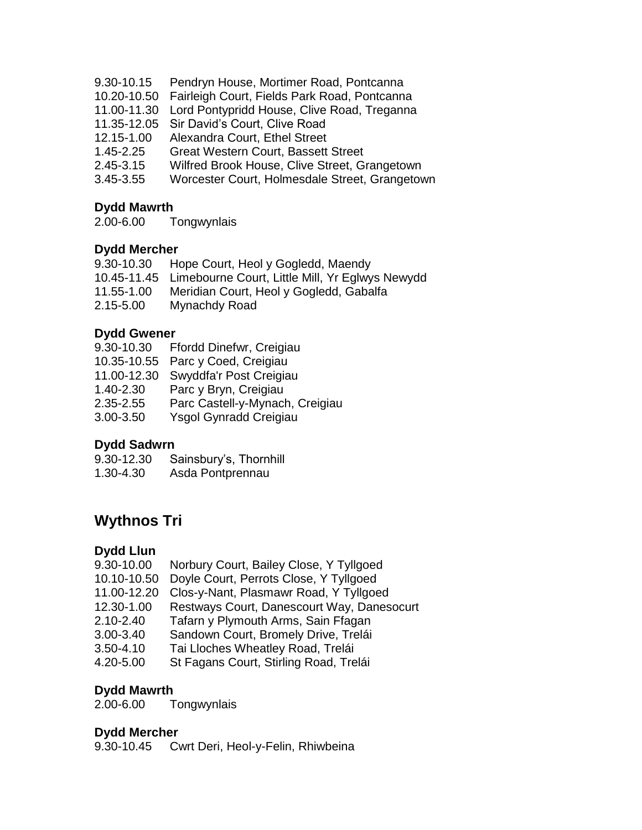- 9.30-10.15 Pendryn House, Mortimer Road, Pontcanna
- 10.20-10.50 Fairleigh Court, Fields Park Road, Pontcanna
- 11.00-11.30 Lord Pontypridd House, Clive Road, Treganna
- 11.35-12.05 Sir David's Court, Clive Road
- 12.15-1.00 Alexandra Court, Ethel Street
- 1.45-2.25 Great Western Court, Bassett Street
- 2.45-3.15 Wilfred Brook House, Clive Street, Grangetown
- 3.45-3.55 Worcester Court, Holmesdale Street, Grangetown

#### **Dydd Mawrth**

2.00-6.00 Tongwynlais

#### **Dydd Mercher**

| 9.30-10.30 | Hope Court, Heol y Gogledd, Maendy                          |
|------------|-------------------------------------------------------------|
|            | 10.45-11.45 Limebourne Court, Little Mill, Yr Eglwys Newydd |
| 11.55-1.00 | Meridian Court, Heol y Gogledd, Gabalfa                     |
| 2.15-5.00  | Mynachdy Road                                               |

#### **Dydd Gwener**

| 9.30-10.30  | Ffordd Dinefwr, Creigiau        |
|-------------|---------------------------------|
| 10.35-10.55 | Parc y Coed, Creigiau           |
| 11.00-12.30 | Swyddfa'r Post Creigiau         |
| 1.40-2.30   | Parc y Bryn, Creigiau           |
| 2.35-2.55   | Parc Castell-y-Mynach, Creigiau |
| 3.00-3.50   | Ysgol Gynradd Creigiau          |

#### **Dydd Sadwrn**

| 9.30-12.30 | Sainsbury's, Thornhill |
|------------|------------------------|
| 1.30-4.30  | Asda Pontprennau       |

# **Wythnos Tri**

#### **Dydd Llun**

- 9.30-10.00 Norbury Court, Bailey Close, Y Tyllgoed
- 10.10-10.50 Doyle Court, Perrots Close, Y Tyllgoed
- 11.00-12.20 Clos-y-Nant, Plasmawr Road, Y Tyllgoed
- 12.30-1.00 Restways Court, Danescourt Way, Danesocurt
- 2.10-2.40 Tafarn y Plymouth Arms, Sain Ffagan
- 3.00-3.40 Sandown Court, Bromely Drive, Trelái
- 3.50-4.10 Tai Lloches Wheatley Road, Trelái
- 4.20-5.00 St Fagans Court, Stirling Road, Trelái

#### **Dydd Mawrth**

2.00-6.00 Tongwynlais

#### **Dydd Mercher**

9.30-10.45 Cwrt Deri, Heol-y-Felin, Rhiwbeina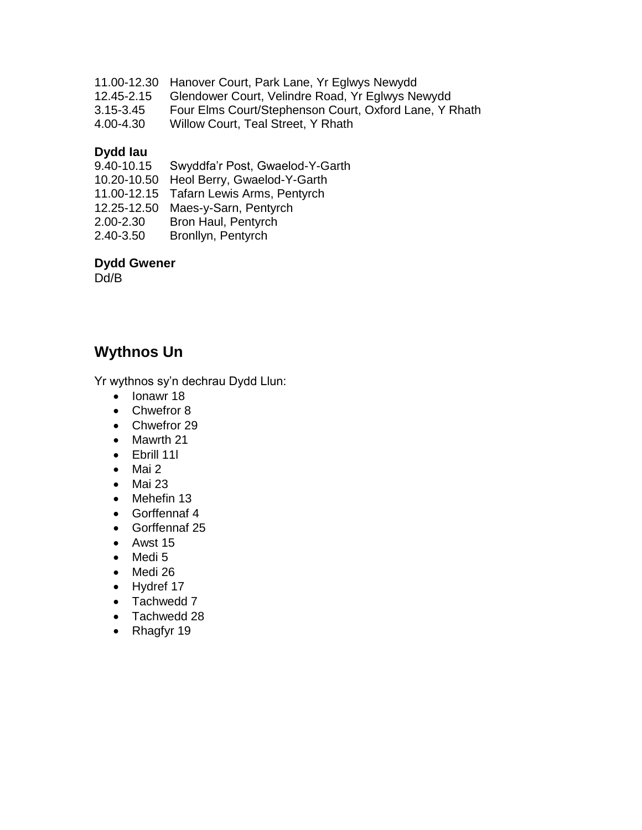- 11.00-12.30 Hanover Court, Park Lane, Yr Eglwys Newydd
- 12.45-2.15 Glendower Court, Velindre Road, Yr Eglwys Newydd
- 3.15-3.45 Four Elms Court/Stephenson Court, Oxford Lane, Y Rhath
- 4.00-4.30 Willow Court, Teal Street, Y Rhath

# **Dydd Iau**

| 9.40-10.15 | Swyddfa'r Post, Gwaelod-Y-Garth         |
|------------|-----------------------------------------|
|            | 10.20-10.50 Heol Berry, Gwaelod-Y-Garth |
|            | 11.00-12.15 Tafarn Lewis Arms, Pentyrch |
|            | 12.25-12.50 Maes-y-Sarn, Pentyrch       |
| 2.00-2.30  | Bron Haul, Pentyrch                     |
| 2.40-3.50  | Bronllyn, Pentyrch                      |

#### **Dydd Gwener**

Dd/B

# **Wythnos Un**

Yr wythnos sy'n dechrau Dydd Llun:

- Ionawr 18
- Chwefror 8
- Chwefror 29
- Mawrth 21
- Ebrill 11l
- $\bullet$  Mai 2
- $•$  Mai 23
- Mehefin 13
- Gorffennaf 4
- Gorffennaf 25
- $•$  Awst 15
- Medi 5
- Medi 26
- Hydref 17
- Tachwedd 7
- Tachwedd 28
- Rhagfyr 19